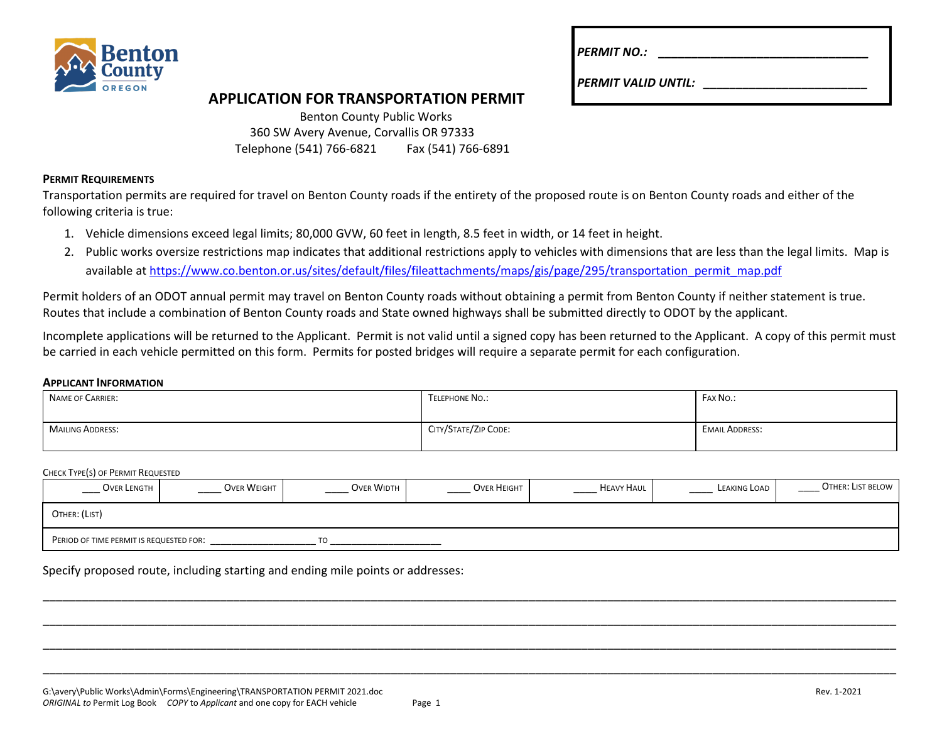

| <b>PERMIT NO.:</b> |  |  |
|--------------------|--|--|
|                    |  |  |

*PERMIT VALID UNTIL: \_\_\_\_\_\_\_\_\_\_\_\_\_\_\_\_\_\_\_\_\_\_\_\_\_*

# **APPLICATION FOR TRANSPORTATION PERMIT**

| <b>Benton County Public Works</b>       |                    |
|-----------------------------------------|--------------------|
| 360 SW Avery Avenue, Corvallis OR 97333 |                    |
| Telephone (541) 766-6821                | Fax (541) 766-6891 |

### **PERMIT REQUIREMENTS**

Transportation permits are required for travel on Benton County roads if the entirety of the proposed route is on Benton County roads and either of the following criteria is true:

- 1. Vehicle dimensions exceed legal limits; 80,000 GVW, 60 feet in length, 8.5 feet in width, or 14 feet in height.
- 2. Public works oversize restrictions map indicates that additional restrictions apply to vehicles with dimensions that are less than the legal limits. Map is available a[t https://www.co.benton.or.us/sites/default/files/fileattachments/maps/gis/page/295/transportation\\_permit\\_map.pdf](https://www.co.benton.or.us/sites/default/files/fileattachments/maps/gis/page/295/transportation_permit_map.pdf)

Permit holders of an ODOT annual permit may travel on Benton County roads without obtaining a permit from Benton County if neither statement is true. Routes that include a combination of Benton County roads and State owned highways shall be submitted directly to ODOT by the applicant.

Incomplete applications will be returned to the Applicant. Permit is not valid until a signed copy has been returned to the Applicant. A copy of this permit must be carried in each vehicle permitted on this form. Permits for posted bridges will require a separate permit for each configuration.

#### **APPLICANT INFORMATION**

| NAME OF CARRIER: | TELEPHONE NO.:       | FAX NO.:              |
|------------------|----------------------|-----------------------|
| MAILING ADDRESS: | CITY/STATE/ZIP CODE: | <b>EMAIL ADDRESS:</b> |

#### CHECK TYPE(S) OF PERMIT REQUESTED

| OVER LENGTH                                    | <b>OVER WEIGHT</b> | <b>OVER WIDTH</b> | <b>OVER HEIGHT</b> | <b>HEAVY HAUL</b> | LEAKING LOAD | OTHER: LIST BELOW |  |  |
|------------------------------------------------|--------------------|-------------------|--------------------|-------------------|--------------|-------------------|--|--|
| OTHER: (LIST)                                  |                    |                   |                    |                   |              |                   |  |  |
| PERIOD OF TIME PERMIT IS REQUESTED FOR:<br>TO. |                    |                   |                    |                   |              |                   |  |  |

\_\_\_\_\_\_\_\_\_\_\_\_\_\_\_\_\_\_\_\_\_\_\_\_\_\_\_\_\_\_\_\_\_\_\_\_\_\_\_\_\_\_\_\_\_\_\_\_\_\_\_\_\_\_\_\_\_\_\_\_\_\_\_\_\_\_\_\_\_\_\_\_\_\_\_\_\_\_\_\_\_\_\_\_\_\_\_\_\_\_\_\_\_\_\_\_\_\_\_\_\_\_\_\_\_\_\_\_\_\_\_\_\_\_\_\_\_\_\_\_\_\_\_\_\_\_\_\_\_\_

\_\_\_\_\_\_\_\_\_\_\_\_\_\_\_\_\_\_\_\_\_\_\_\_\_\_\_\_\_\_\_\_\_\_\_\_\_\_\_\_\_\_\_\_\_\_\_\_\_\_\_\_\_\_\_\_\_\_\_\_\_\_\_\_\_\_\_\_\_\_\_\_\_\_\_\_\_\_\_\_\_\_\_\_\_\_\_\_\_\_\_\_\_\_\_\_\_\_\_\_\_\_\_\_\_\_\_\_\_\_\_\_\_\_\_\_\_\_\_\_\_\_\_\_\_\_\_\_\_\_

\_\_\_\_\_\_\_\_\_\_\_\_\_\_\_\_\_\_\_\_\_\_\_\_\_\_\_\_\_\_\_\_\_\_\_\_\_\_\_\_\_\_\_\_\_\_\_\_\_\_\_\_\_\_\_\_\_\_\_\_\_\_\_\_\_\_\_\_\_\_\_\_\_\_\_\_\_\_\_\_\_\_\_\_\_\_\_\_\_\_\_\_\_\_\_\_\_\_\_\_\_\_\_\_\_\_\_\_\_\_\_\_\_\_\_\_\_\_\_\_\_\_\_\_\_\_\_\_\_\_

\_\_\_\_\_\_\_\_\_\_\_\_\_\_\_\_\_\_\_\_\_\_\_\_\_\_\_\_\_\_\_\_\_\_\_\_\_\_\_\_\_\_\_\_\_\_\_\_\_\_\_\_\_\_\_\_\_\_\_\_\_\_\_\_\_\_\_\_\_\_\_\_\_\_\_\_\_\_\_\_\_\_\_\_\_\_\_\_\_\_\_\_\_\_\_\_\_\_\_\_\_\_\_\_\_\_\_\_\_\_\_\_\_\_\_\_\_\_\_\_\_\_\_\_\_\_\_\_\_\_

Specify proposed route, including starting and ending mile points or addresses: